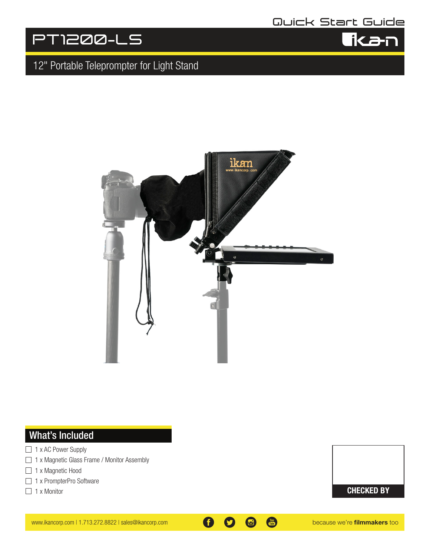## **Quick Start Guide**

ika-r

# **PT1200-LS**

## 12" Portable Teleprompter for Light Stand



## What's Included

- $\Box$  1 x AC Power Supply
- □ 1 x Magnetic Glass Frame / Monitor Assembly
- □ 1 x Magnetic Hood
- □ 1 x PrompterPro Software
- $\Box$  1 x Monitor

CHECKED BY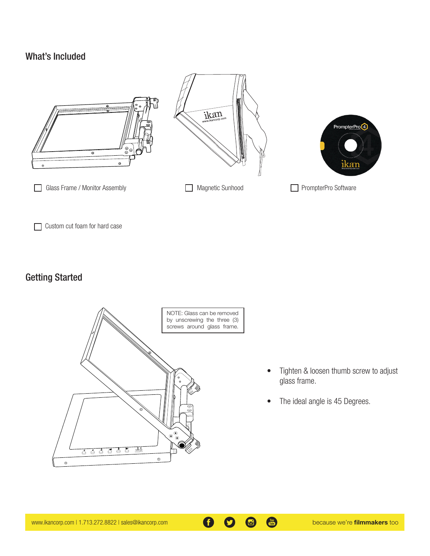#### What's Included



Custom cut foam for hard case

### Getting Started



- Tighten & loosen thumb screw to adjust glass frame.
- The ideal angle is 45 Degrees.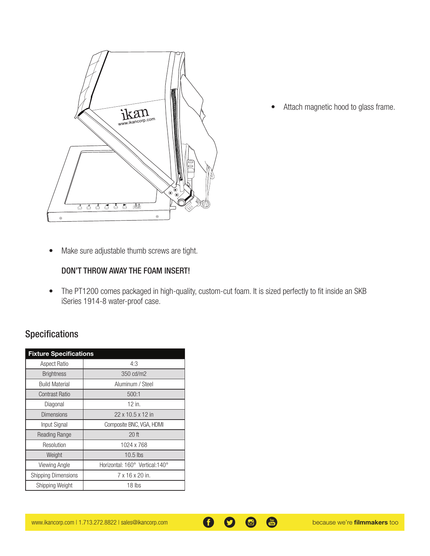

• Attach magnetic hood to glass frame.

• Make sure adjustable thumb screws are tight.

#### DON'T THROW AWAY THE FOAM INSERT!

• The PT1200 comes packaged in high-quality, custom-cut foam. It is sized perfectly to fit inside an SKB iSeries 1914-8 water-proof case.

### Specifications

| <b>Fixture Specifications</b> |                                 |
|-------------------------------|---------------------------------|
| <b>Aspect Ratio</b>           | 4:3                             |
| <b>Brightness</b>             | 350 cd/m2                       |
| <b>Build Material</b>         | Aluminum / Steel                |
| <b>Contrast Ratio</b>         | 500:1                           |
| Diagonal                      | 12 in.                          |
| <b>Dimensions</b>             | 22 x 10.5 x 12 in               |
| Input Signal                  | Composite BNC, VGA, HDMI        |
| <b>Reading Range</b>          | 20 <sup>th</sup>                |
| Resolution                    | 1024 x 768                      |
| Weight                        | $10.5$ lbs                      |
| Viewing Angle                 | Horizontal: 160° Vertical: 140° |
| <b>Shipping Dimensions</b>    | 7 x 16 x 20 in.                 |
| Shipping Weight               | 18 lbs                          |